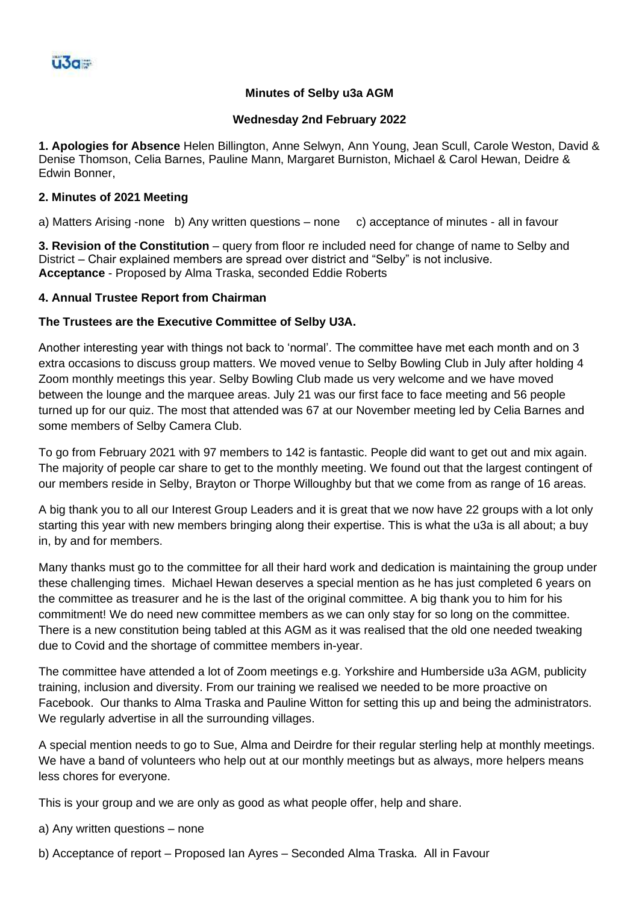# **Minutes of Selby u3a AGM**

### **Wednesday 2nd February 2022**

**1. Apologies for Absence** Helen Billington, Anne Selwyn, Ann Young, Jean Scull, Carole Weston, David & Denise Thomson, Celia Barnes, Pauline Mann, Margaret Burniston, Michael & Carol Hewan, Deidre & Edwin Bonner,

### **2. Minutes of 2021 Meeting**

a) Matters Arising -none b) Any written questions – none c) acceptance of minutes - all in favour

**3. Revision of the Constitution** – query from floor re included need for change of name to Selby and District – Chair explained members are spread over district and "Selby" is not inclusive. **Acceptance** - Proposed by Alma Traska, seconded Eddie Roberts

### **4. Annual Trustee Report from Chairman**

## **The Trustees are the Executive Committee of Selby U3A.**

Another interesting year with things not back to 'normal'. The committee have met each month and on 3 extra occasions to discuss group matters. We moved venue to Selby Bowling Club in July after holding 4 Zoom monthly meetings this year. Selby Bowling Club made us very welcome and we have moved between the lounge and the marquee areas. July 21 was our first face to face meeting and 56 people turned up for our quiz. The most that attended was 67 at our November meeting led by Celia Barnes and some members of Selby Camera Club.

To go from February 2021 with 97 members to 142 is fantastic. People did want to get out and mix again. The majority of people car share to get to the monthly meeting. We found out that the largest contingent of our members reside in Selby, Brayton or Thorpe Willoughby but that we come from as range of 16 areas.

A big thank you to all our Interest Group Leaders and it is great that we now have 22 groups with a lot only starting this year with new members bringing along their expertise. This is what the u3a is all about; a buy in, by and for members.

Many thanks must go to the committee for all their hard work and dedication is maintaining the group under these challenging times. Michael Hewan deserves a special mention as he has just completed 6 years on the committee as treasurer and he is the last of the original committee. A big thank you to him for his commitment! We do need new committee members as we can only stay for so long on the committee. There is a new constitution being tabled at this AGM as it was realised that the old one needed tweaking due to Covid and the shortage of committee members in-year.

The committee have attended a lot of Zoom meetings e.g. Yorkshire and Humberside u3a AGM, publicity training, inclusion and diversity. From our training we realised we needed to be more proactive on Facebook. Our thanks to Alma Traska and Pauline Witton for setting this up and being the administrators. We regularly advertise in all the surrounding villages.

A special mention needs to go to Sue, Alma and Deirdre for their regular sterling help at monthly meetings. We have a band of volunteers who help out at our monthly meetings but as always, more helpers means less chores for everyone.

This is your group and we are only as good as what people offer, help and share.

a) Any written questions – none

b) Acceptance of report – Proposed Ian Ayres – Seconded Alma Traska. All in Favour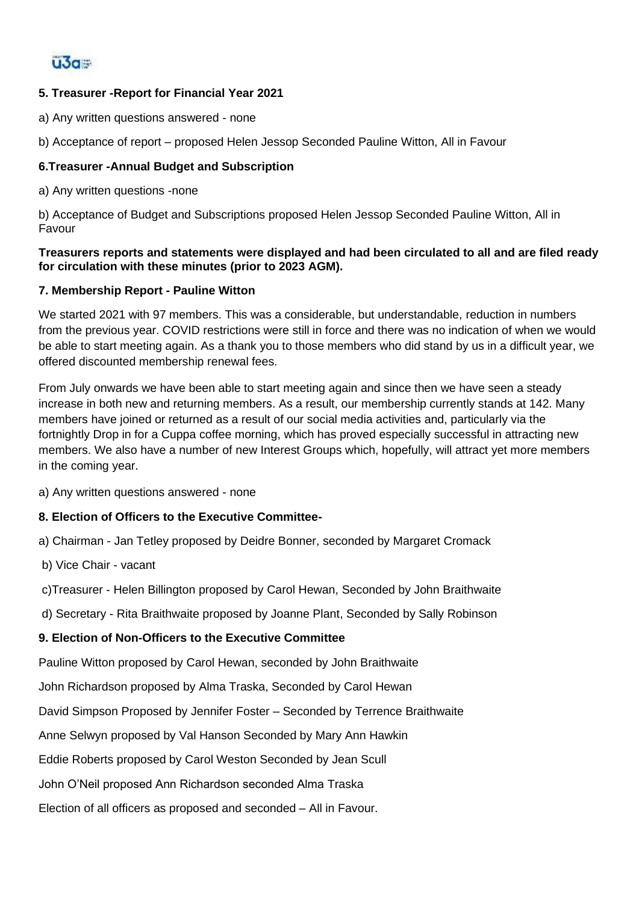

# **5. Treasurer -Report for Financial Year 2021**

a) Any written questions answered - none

b) Acceptance of report – proposed Helen Jessop Seconded Pauline Witton, All in Favour

## **6.Treasurer -Annual Budget and Subscription**

a) Any written questions -none

b) Acceptance of Budget and Subscriptions proposed Helen Jessop Seconded Pauline Witton, All in Favour

### **Treasurers reports and statements were displayed and had been circulated to all and are filed ready for circulation with these minutes (prior to 2023 AGM).**

### **7. Membership Report - Pauline Witton**

We started 2021 with 97 members. This was a considerable, but understandable, reduction in numbers from the previous year. COVID restrictions were still in force and there was no indication of when we would be able to start meeting again. As a thank you to those members who did stand by us in a difficult year, we offered discounted membership renewal fees.

From July onwards we have been able to start meeting again and since then we have seen a steady increase in both new and returning members. As a result, our membership currently stands at 142. Many members have joined or returned as a result of our social media activities and, particularly via the fortnightly Drop in for a Cuppa coffee morning, which has proved especially successful in attracting new members. We also have a number of new Interest Groups which, hopefully, will attract yet more members in the coming year.

a) Any written questions answered - none

### **8. Election of Officers to the Executive Committee-**

a) Chairman - Jan Tetley proposed by Deidre Bonner, seconded by Margaret Cromack

b) Vice Chair - vacant

c)Treasurer - Helen Billington proposed by Carol Hewan, Seconded by John Braithwaite

d) Secretary - Rita Braithwaite proposed by Joanne Plant, Seconded by Sally Robinson

### **9. Election of Non-Officers to the Executive Committee**

Pauline Witton proposed by Carol Hewan, seconded by John Braithwaite

John Richardson proposed by Alma Traska, Seconded by Carol Hewan

David Simpson Proposed by Jennifer Foster – Seconded by Terrence Braithwaite

Anne Selwyn proposed by Val Hanson Seconded by Mary Ann Hawkin

Eddie Roberts proposed by Carol Weston Seconded by Jean Scull

John O'Neil proposed Ann Richardson seconded Alma Traska

Election of all officers as proposed and seconded – All in Favour.